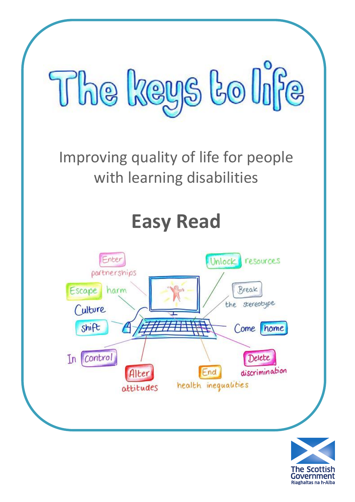

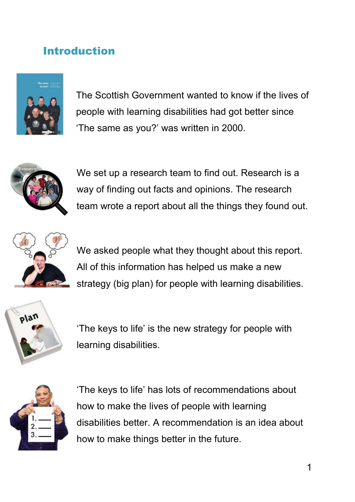## Introduction



The Scottish Government wanted to know if the lives of people with learning disabilities had got better since 'The same as you?' was written in 2000.



We set up a research team to find out. Research is a way of finding out facts and opinions. The research team wrote a report about all the things they found out.



We asked people what they thought about this report. All of this information has helped us make a new strategy (big plan) for people with learning disabilities.



'The keys to life' is the new strategy for people with learning disabilities.



'The keys to life' has lots of recommendations about how to make the lives of people with learning disabilities better. A recommendation is an idea about how to make things better in the future.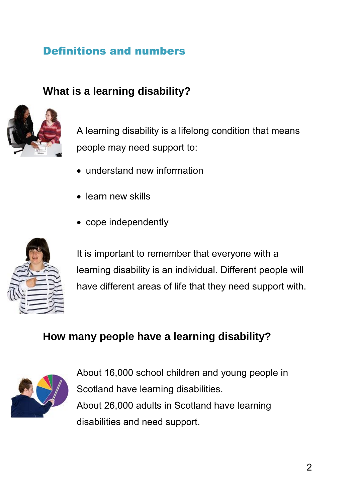## Definitions and numbers

## **What is a learning disability?**



A learning disability is a lifelong condition that means people may need support to:

- understand new information
- learn new skills
- cope independently



It is important to remember that everyone with a learning disability is an individual. Different people will have different areas of life that they need support with.

# **How many people have a learning disability?**



About 16,000 school children and young people in Scotland have learning disabilities. About 26,000 adults in Scotland have learning disabilities and need support.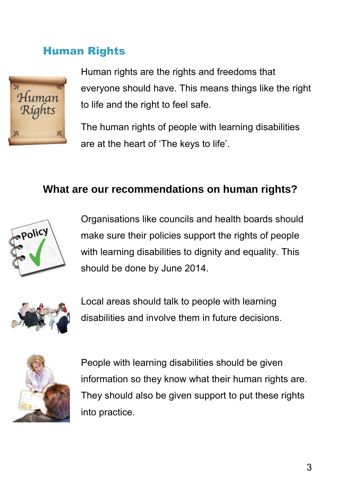#### Human Rights



Human rights are the rights and freedoms that everyone should have. This means things like the right to life and the right to feel safe.

The human rights of people with learning disabilities are at the heart of 'The keys to life'.

#### **What are our recommendations on human rights?**



Organisations like councils and health boards should make sure their policies support the rights of people with learning disabilities to dignity and equality. This should be done by June 2014.



Local areas should talk to people with learning disabilities and involve them in future decisions.



People with learning disabilities should be given information so they know what their human rights are. They should also be given support to put these rights into practice.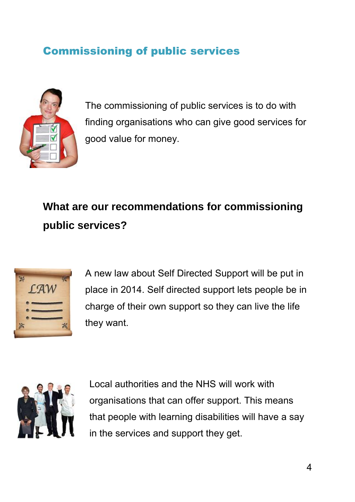# Commissioning of public services



The commissioning of public services is to do with finding organisations who can give good services for good value for money.

# **What are our recommendations for commissioning public services?**



A new law about Self Directed Support will be put in place in 2014. Self directed support lets people be in charge of their own support so they can live the life they want.



Local authorities and the NHS will work with organisations that can offer support. This means that people with learning disabilities will have a say in the services and support they get.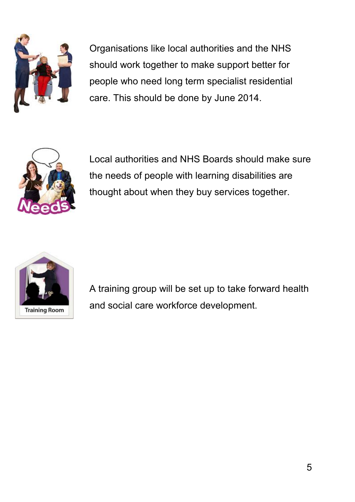

Organisations like local authorities and the NHS should work together to make support better for people who need long term specialist residential care. This should be done by June 2014.



Local authorities and NHS Boards should make sure the needs of people with learning disabilities are thought about when they buy services together.



A training group will be set up to take forward health and social care workforce development.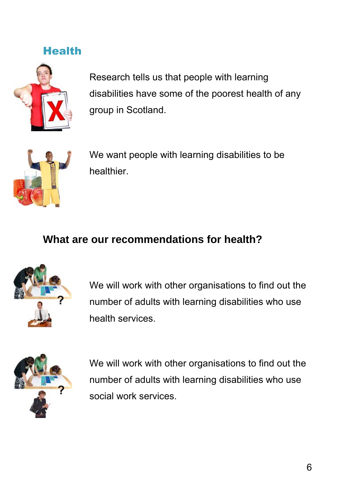#### **Health**



Research tells us that people with learning disabilities have some of the poorest health of any group in Scotland.



We want people with learning disabilities to be healthier.

#### **What are our recommendations for health?**



We will work with other organisations to find out the number of adults with learning disabilities who use health services.



We will work with other organisations to find out the number of adults with learning disabilities who use social work services.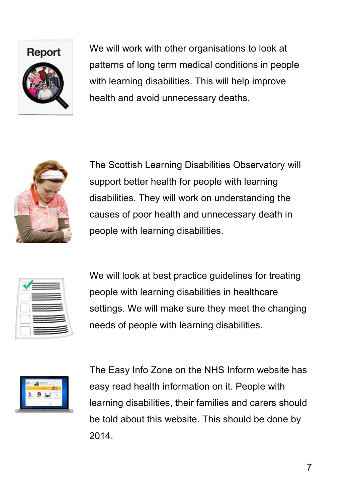

We will work with other organisations to look at patterns of long term medical conditions in people with learning disabilities. This will help improve health and avoid unnecessary deaths.



The Scottish Learning Disabilities Observatory will support better health for people with learning disabilities. They will work on understanding the causes of poor health and unnecessary death in people with learning disabilities.

We will look at best practice guidelines for treating people with learning disabilities in healthcare settings. We will make sure they meet the changing needs of people with learning disabilities.



The Easy Info Zone on the NHS Inform website has easy read health information on it. People with learning disabilities, their families and carers should be told about this website. This should be done by 2014.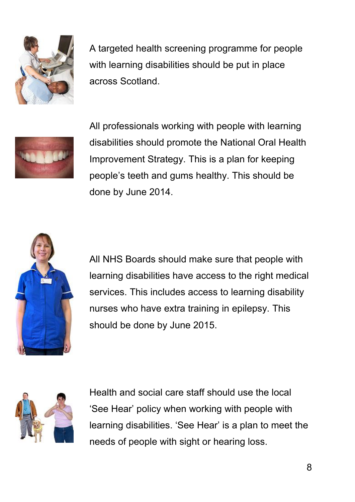

A targeted health screening programme for people with learning disabilities should be put in place across Scotland.



All professionals working with people with learning disabilities should promote the National Oral Health Improvement Strategy. This is a plan for keeping people's teeth and gums healthy. This should be done by June 2014.



All NHS Boards should make sure that people with learning disabilities have access to the right medical services. This includes access to learning disability nurses who have extra training in epilepsy. This should be done by June 2015.



Health and social care staff should use the local 'See Hear' policy when working with people with learning disabilities. 'See Hear' is a plan to meet the needs of people with sight or hearing loss.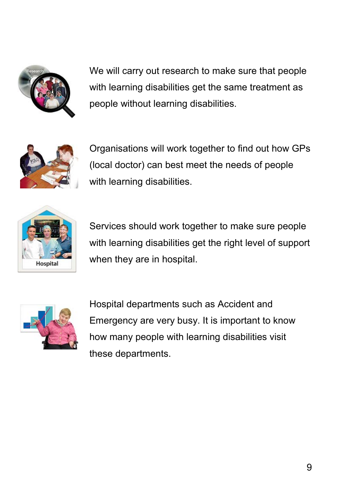

We will carry out research to make sure that people with learning disabilities get the same treatment as people without learning disabilities.



Organisations will work together to find out how GPs (local doctor) can best meet the needs of people with learning disabilities.



Services should work together to make sure people with learning disabilities get the right level of support when they are in hospital.



Hospital departments such as Accident and Emergency are very busy. It is important to know how many people with learning disabilities visit these departments.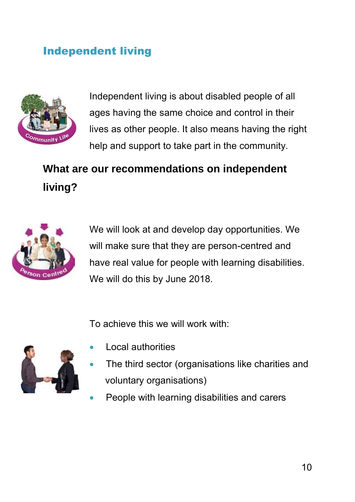## Independent living



Independent living is about disabled people of all ages having the same choice and control in their lives as other people. It also means having the right help and support to take part in the community.

**What are our recommendations on independent living?** 



We will look at and develop day opportunities. We will make sure that they are person-centred and have real value for people with learning disabilities. We will do this by June 2018.

To achieve this we will work with:



- Local authorities
- The third sector (organisations like charities and voluntary organisations)
- People with learning disabilities and carers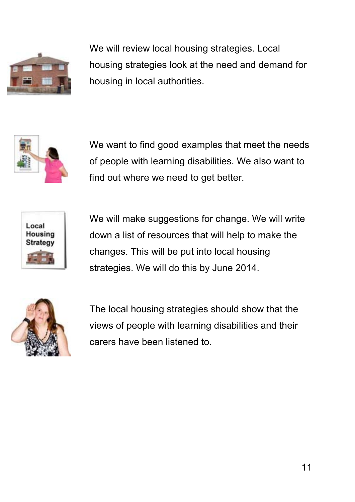

We will review local housing strategies. Local housing strategies look at the need and demand for housing in local authorities.



We want to find good examples that meet the needs of people with learning disabilities. We also want to find out where we need to get better.



We will make suggestions for change. We will write down a list of resources that will help to make the changes. This will be put into local housing strategies. We will do this by June 2014.



The local housing strategies should show that the views of people with learning disabilities and their carers have been listened to.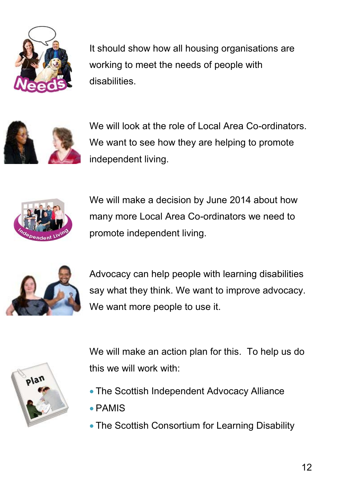

It should show how all housing organisations are working to meet the needs of people with disabilities.



We will look at the role of Local Area Co-ordinators. We want to see how they are helping to promote independent living.



We will make a decision by June 2014 about how many more Local Area Co-ordinators we need to promote independent living.



Advocacy can help people with learning disabilities say what they think. We want to improve advocacy. We want more people to use it.



We will make an action plan for this. To help us do this we will work with:

- The Scottish Independent Advocacy Alliance
- PAMIS
- The Scottish Consortium for Learning Disability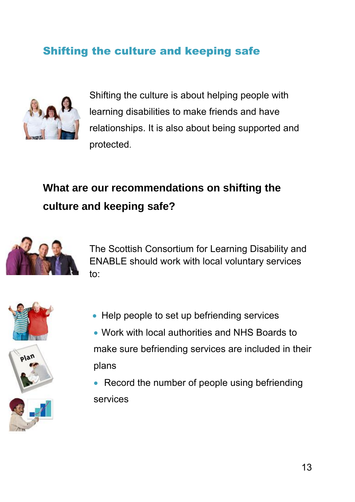# Shifting the culture and keeping safe



Shifting the culture is about helping people with learning disabilities to make friends and have relationships. It is also about being supported and protected.

# **What are our recommendations on shifting the culture and keeping safe?**



The Scottish Consortium for Learning Disability and ENABLE should work with local voluntary services to:







 Work with local authorities and NHS Boards to make sure befriending services are included in their plans

• Help people to set up befriending services

• Record the number of people using befriending services

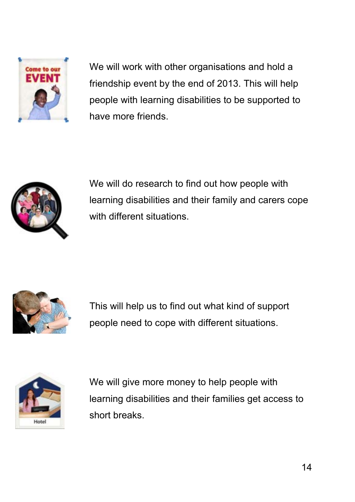

We will work with other organisations and hold a friendship event by the end of 2013. This will help people with learning disabilities to be supported to have more friends.



We will do research to find out how people with learning disabilities and their family and carers cope with different situations.



This will help us to find out what kind of support people need to cope with different situations.



We will give more money to help people with learning disabilities and their families get access to short breaks.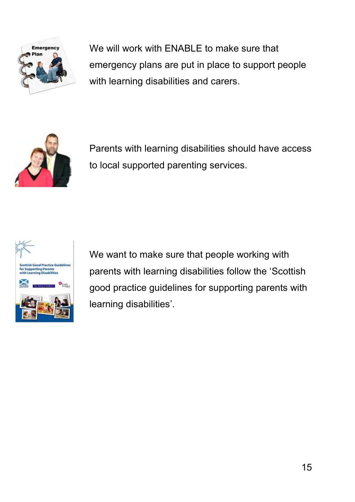

We will work with ENABLE to make sure that emergency plans are put in place to support people with learning disabilities and carers.



Parents with learning disabilities should have access to local supported parenting services.



We want to make sure that people working with parents with learning disabilities follow the 'Scottish good practice guidelines for supporting parents with learning disabilities'.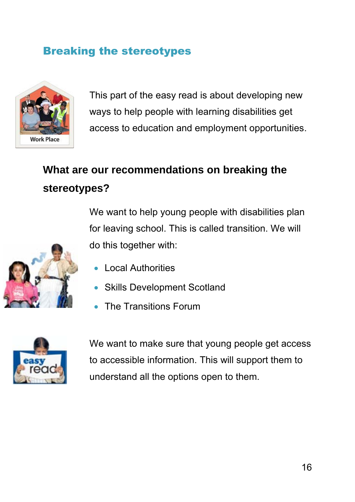## Breaking the stereotypes



This part of the easy read is about developing new ways to help people with learning disabilities get access to education and employment opportunities.

# **What are our recommendations on breaking the stereotypes?**

We want to help young people with disabilities plan for leaving school. This is called transition. We will do this together with:

- Local Authorities
- Skills Development Scotland
- The Transitions Forum



We want to make sure that young people get access to accessible information. This will support them to understand all the options open to them.

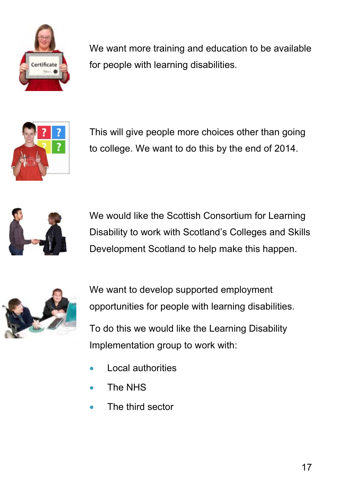

We want more training and education to be available for people with learning disabilities.



This will give people more choices other than going to college. We want to do this by the end of 2014.



We would like the Scottish Consortium for Learning Disability to work with Scotland's Colleges and Skills Development Scotland to help make this happen.



We want to develop supported employment opportunities for people with learning disabilities. To do this we would like the Learning Disability Implementation group to work with:

- Local authorities
- The NHS
- The third sector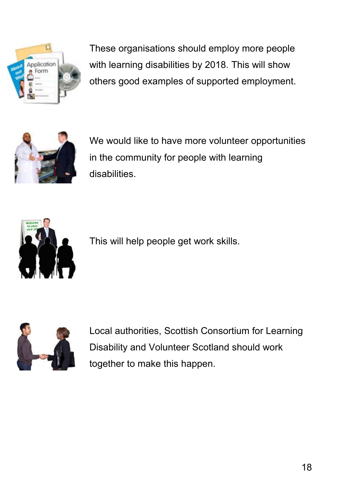

These organisations should employ more people with learning disabilities by 2018. This will show others good examples of supported employment.



We would like to have more volunteer opportunities in the community for people with learning disabilities.



This will help people get work skills.



Local authorities, Scottish Consortium for Learning Disability and Volunteer Scotland should work together to make this happen.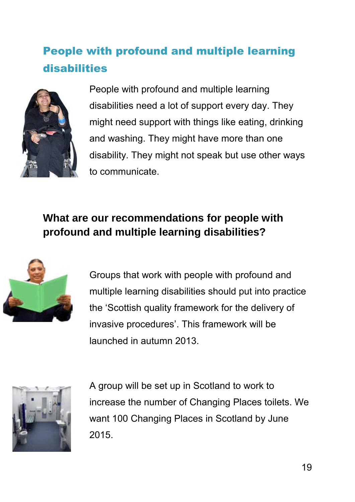# People with profound and multiple learning disabilities



People with profound and multiple learning disabilities need a lot of support every day. They might need support with things like eating, drinking and washing. They might have more than one disability. They might not speak but use other ways to communicate.

# **What are our recommendations for people with profound and multiple learning disabilities?**



Groups that work with people with profound and multiple learning disabilities should put into practice the 'Scottish quality framework for the delivery of invasive procedures'. This framework will be launched in autumn 2013.



A group will be set up in Scotland to work to increase the number of Changing Places toilets. We want 100 Changing Places in Scotland by June 2015.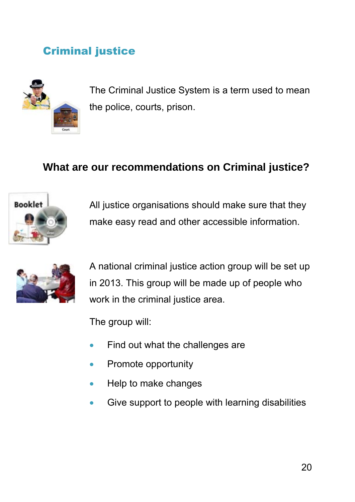# Criminal justice



The Criminal Justice System is a term used to mean the police, courts, prison.

## **What are our recommendations on Criminal justice?**



All justice organisations should make sure that they make easy read and other accessible information.



A national criminal justice action group will be set up in 2013. This group will be made up of people who work in the criminal justice area.

The group will:

- Find out what the challenges are
- Promote opportunity
- Help to make changes
- Give support to people with learning disabilities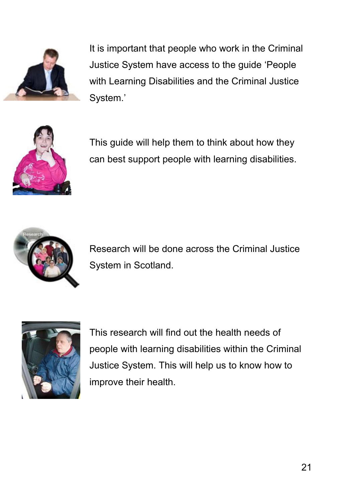

It is important that people who work in the Criminal Justice System have access to the guide 'People with Learning Disabilities and the Criminal Justice System.'



This guide will help them to think about how they can best support people with learning disabilities.



Research will be done across the Criminal Justice System in Scotland.



This research will find out the health needs of people with learning disabilities within the Criminal Justice System. This will help us to know how to improve their health.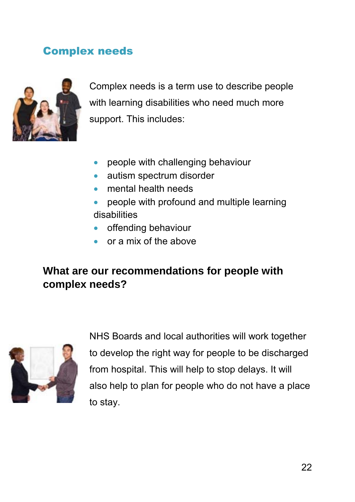## Complex needs



Complex needs is a term use to describe people with learning disabilities who need much more support. This includes:

- people with challenging behaviour
- autism spectrum disorder
- mental health needs
- people with profound and multiple learning disabilities
- offending behaviour
- or a mix of the above

## **What are our recommendations for people with complex needs?**



NHS Boards and local authorities will work together to develop the right way for people to be discharged from hospital. This will help to stop delays. It will also help to plan for people who do not have a place to stay.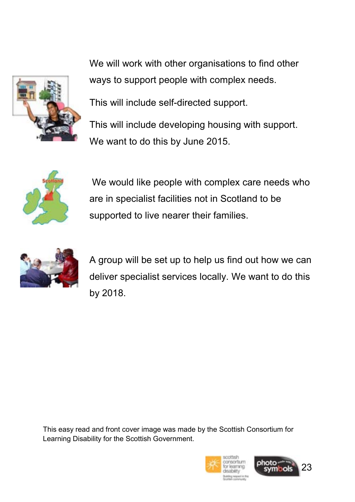

We will work with other organisations to find other ways to support people with complex needs.

This will include self-directed support.

This will include developing housing with support. We want to do this by June 2015.



 We would like people with complex care needs who are in specialist facilities not in Scotland to be supported to live nearer their families.



A group will be set up to help us find out how we can deliver specialist services locally. We want to do this by 2018.

This easy read and front cover image was made by the Scottish Consortium for Learning Disability for the Scottish Government.